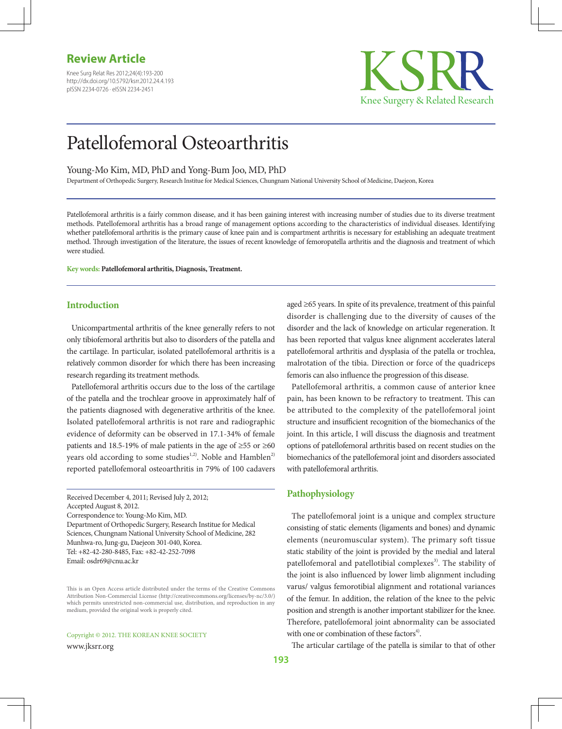Knee Surg Relat Res 2012;24(4):193-200 http://dx.doi.org/10.5792/ksrr.2012.24.4.193 pISSN 2234-0726 · eISSN 2234-2451



# Patellofemoral Osteoarthritis

### Young-Mo Kim, MD, PhD and Yong-Bum Joo, MD, PhD

Department of Orthopedic Surgery, Research Institue for Medical Sciences, Chungnam National University School of Medicine, Daejeon, Korea

Patellofemoral arthritis is a fairly common disease, and it has been gaining interest with increasing number of studies due to its diverse treatment methods. Patellofemoral arthritis has a broad range of management options according to the characteristics of individual diseases. Identifying whether patellofemoral arthritis is the primary cause of knee pain and is compartment arthritis is necessary for establishing an adequate treatment method. Through investigation of the literature, the issues of recent knowledge of femoropatella arthritis and the diagnosis and treatment of which were studied.

**Key words: Patellofemoral arthritis, Diagnosis, Treatment.**

## **Introduction**

Unicompartmental arthritis of the knee generally refers to not only tibiofemoral arthritis but also to disorders of the patella and the cartilage. In particular, isolated patellofemoral arthritis is a relatively common disorder for which there has been increasing research regarding its treatment methods.

Patellofemoral arthritis occurs due to the loss of the cartilage of the patella and the trochlear groove in approximately half of the patients diagnosed with degenerative arthritis of the knee. Isolated patellofemoral arthritis is not rare and radiographic evidence of deformity can be observed in 17.1-34% of female patients and 18.5-19% of male patients in the age of ≥55 or ≥60 years old according to some studies<sup>1,2)</sup>. Noble and Hamblen<sup>2)</sup> reported patellofemoral osteoarthritis in 79% of 100 cadavers

Received December 4, 2011; Revised July 2, 2012; Accepted August 8, 2012. Correspondence to: Young-Mo Kim, MD. Department of Orthopedic Surgery, Research Institue for Medical Sciences, Chungnam National University School of Medicine, 282 Munhwa-ro, Jung-gu, Daejeon 301-040, Korea. Tel: +82-42-280-8485, Fax: +82-42-252-7098 Email: osdr69@cnu.ac.kr

This is an Open Access article distributed under the terms of the Creative Commons Attribution Non-Commercial License (http://creativecommons.org/licenses/by-nc/3.0/) which permits unrestricted non-commercial use, distribution, and reproduction in any medium, provided the original work is properly cited.

#### Copyright © 2012. THE KOREAN KNEE SOCIETY

www.jksrr.org

aged ≥65 years. In spite of its prevalence, treatment of this painful disorder is challenging due to the diversity of causes of the disorder and the lack of knowledge on articular regeneration. It has been reported that valgus knee alignment accelerates lateral patellofemoral arthritis and dysplasia of the patella or trochlea, malrotation of the tibia. Direction or force of the quadriceps femoris can also influence the progression of this disease.

Patellofemoral arthritis, a common cause of anterior knee pain, has been known to be refractory to treatment. This can be attributed to the complexity of the patellofemoral joint structure and insufficient recognition of the biomechanics of the joint. In this article, I will discuss the diagnosis and treatment options of patellofemoral arthritis based on recent studies on the biomechanics of the patellofemoral joint and disorders associated with patellofemoral arthritis.

## **Pathophysiology**

The patellofemoral joint is a unique and complex structure consisting of static elements (ligaments and bones) and dynamic elements (neuromuscular system). The primary soft tissue static stability of the joint is provided by the medial and lateral patellofemoral and patellotibial complexes<sup>3)</sup>. The stability of the joint is also influenced by lower limb alignment including varus/ valgus femorotibial alignment and rotational variances of the femur. In addition, the relation of the knee to the pelvic position and strength is another important stabilizer for the knee. Therefore, patellofemoral joint abnormality can be associated with one or combination of these factors $4^{\circ}$ .

The articular cartilage of the patella is similar to that of other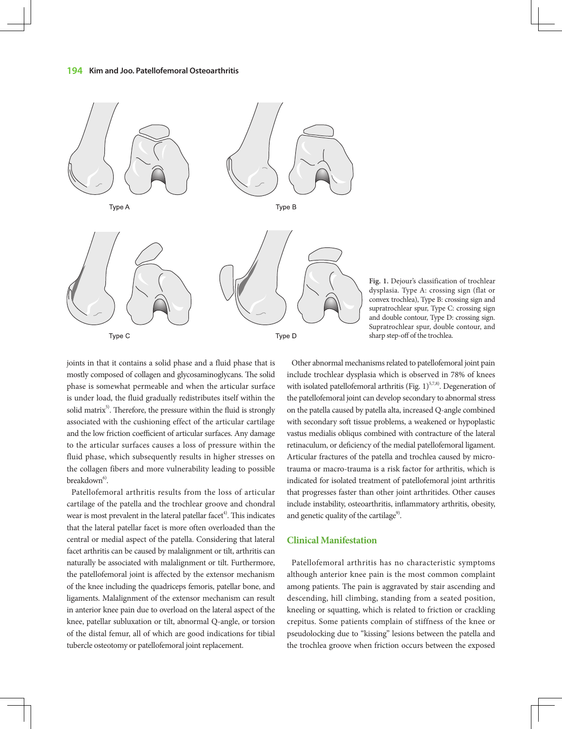

**Fig. 1.** Dejour's classification of trochlear dysplasia. Type A: crossing sign (flat or convex trochlea), Type B: crossing sign and supratrochlear spur, Type C: crossing sign and double contour, Type D: crossing sign. Supratrochlear spur, double contour, and sharp step-off of the trochlea.

joints in that it contains a solid phase and a fluid phase that is mostly composed of collagen and glycosaminoglycans. The solid phase is somewhat permeable and when the articular surface is under load, the fluid gradually redistributes itself within the solid matrix<sup>5)</sup>. Therefore, the pressure within the fluid is strongly associated with the cushioning effect of the articular cartilage and the low friction coefficient of articular surfaces. Any damage to the articular surfaces causes a loss of pressure within the fluid phase, which subsequently results in higher stresses on the collagen fibers and more vulnerability leading to possible breakdown<sup>6)</sup>.

Patellofemoral arthritis results from the loss of articular cartilage of the patella and the trochlear groove and chondral wear is most prevalent in the lateral patellar facet<sup>4)</sup>. This indicates that the lateral patellar facet is more often overloaded than the central or medial aspect of the patella. Considering that lateral facet arthritis can be caused by malalignment or tilt, arthritis can naturally be associated with malalignment or tilt. Furthermore, the patellofemoral joint is affected by the extensor mechanism of the knee including the quadriceps femoris, patellar bone, and ligaments. Malalignment of the extensor mechanism can result in anterior knee pain due to overload on the lateral aspect of the knee, patellar subluxation or tilt, abnormal Q-angle, or torsion of the distal femur, all of which are good indications for tibial tubercle osteotomy or patellofemoral joint replacement.

Other abnormal mechanisms related to patellofemoral joint pain include trochlear dysplasia which is observed in 78% of knees with isolated patellofemoral arthritis (Fig.  $1$ )<sup>5,7,8</sup>). Degeneration of the patellofemoral joint can develop secondary to abnormal stress on the patella caused by patella alta, increased Q-angle combined with secondary soft tissue problems, a weakened or hypoplastic vastus medialis obliqus combined with contracture of the lateral retinaculum, or deficiency of the medial patellofemoral ligament. Articular fractures of the patella and trochlea caused by microtrauma or macro-trauma is a risk factor for arthritis, which is indicated for isolated treatment of patellofemoral joint arthritis that progresses faster than other joint arthritides. Other causes include instability, osteoarthritis, inflammatory arthritis, obesity, and genetic quality of the cartilage<sup>9</sup>.

### **Clinical Manifestation**

Patellofemoral arthritis has no characteristic symptoms although anterior knee pain is the most common complaint among patients. The pain is aggravated by stair ascending and descending, hill climbing, standing from a seated position, kneeling or squatting, which is related to friction or crackling crepitus. Some patients complain of stiffness of the knee or pseudolocking due to "kissing" lesions between the patella and the trochlea groove when friction occurs between the exposed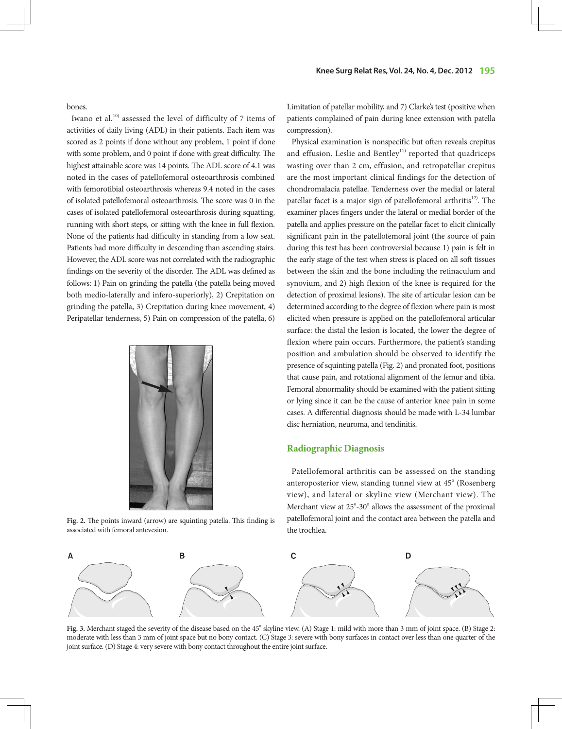Iwano et al.<sup>10)</sup> assessed the level of difficulty of 7 items of activities of daily living (ADL) in their patients. Each item was scored as 2 points if done without any problem, 1 point if done Limitation of patellar mobility, and 7) Clarke's test (positive when patients complained of pain during knee extension with patella compression).

Physical examination is nonspecific but often reveals crepitus and effusion. Leslie and Bentley<sup>11)</sup> reported that quadriceps wasting over than 2 cm, effusion, and retropatellar crepitus are the most important clinical findings for the detection of chondromalacia patellae. Tenderness over the medial or lateral patellar facet is a major sign of patellofemoral arthritis<sup>12)</sup>. The examiner places fingers under the lateral or medial border of the patella and applies pressure on the patellar facet to elicit clinically significant pain in the patellofemoral joint (the source of pain during this test has been controversial because 1) pain is felt in the early stage of the test when stress is placed on all soft tissues between the skin and the bone including the retinaculum and synovium, and 2) high flexion of the knee is required for the detection of proximal lesions). The site of articular lesion can be determined according to the degree of flexion where pain is most elicited when pressure is applied on the patellofemoral articular surface: the distal the lesion is located, the lower the degree of flexion where pain occurs. Furthermore, the patient's standing position and ambulation should be observed to identify the presence of squinting patella (Fig. 2) and pronated foot, positions that cause pain, and rotational alignment of the femur and tibia. Femoral abnormality should be examined with the patient sitting or lying since it can be the cause of anterior knee pain in some cases. A differential diagnosis should be made with L-34 lumbar disc herniation, neuroma, and tendinitis.

## **Radiographic Diagnosis**

Patellofemoral arthritis can be assessed on the standing anteroposterior view, standing tunnel view at 45° (Rosenberg view), and lateral or skyline view (Merchant view). The Merchant view at 25°-30° allows the assessment of the proximal patellofemoral joint and the contact area between the patella and the trochlea.



Fig. 3. Merchant staged the severity of the disease based on the 45° skyline view. (A) Stage 1: mild with more than 3 mm of joint space. (B) Stage 2: moderate with less than 3 mm of joint space but no bony contact. (C) Stage 3: severe with bony surfaces in contact over less than one quarter of the joint surface. (D) Stage 4: very severe with bony contact throughout the entire joint surface.





with some problem, and 0 point if done with great difficulty. The highest attainable score was 14 points. The ADL score of 4.1 was noted in the cases of patellofemoral osteoarthrosis combined with femorotibial osteoarthrosis whereas 9.4 noted in the cases of isolated patellofemoral osteoarthrosis. The score was 0 in the cases of isolated patellofemoral osteoarthrosis during squatting, running with short steps, or sitting with the knee in full flexion. None of the patients had difficulty in standing from a low seat. Patients had more difficulty in descending than ascending stairs. However, the ADL score was not correlated with the radiographic findings on the severity of the disorder. The ADL was defined as follows: 1) Pain on grinding the patella (the patella being moved both medio-laterally and infero-superiorly), 2) Crepitation on grinding the patella, 3) Crepitation during knee movement, 4) Peripatellar tenderness, 5) Pain on compression of the patella, 6)

**Fig. 2.** The points inward (arrow) are squinting patella. This finding is associated with femoral antevesion.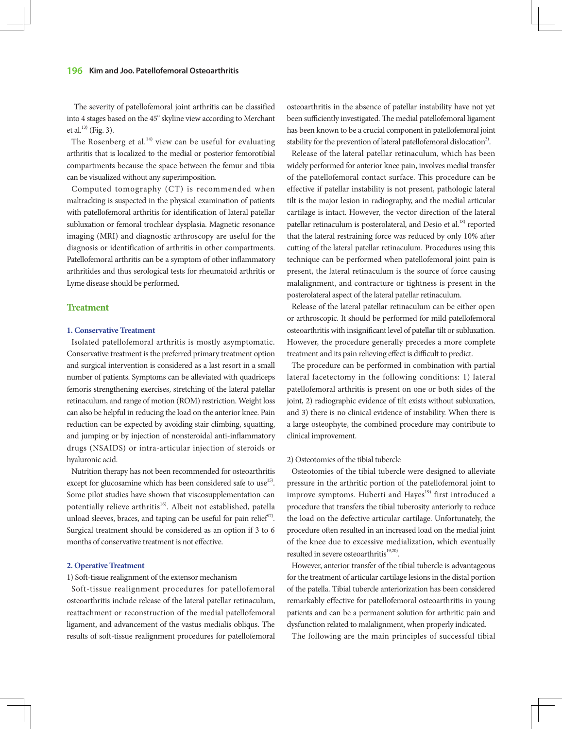The severity of patellofemoral joint arthritis can be classified into 4 stages based on the 45° skyline view according to Merchant et al. $^{13)}$  (Fig. 3).

The Rosenberg et al.<sup>14)</sup> view can be useful for evaluating arthritis that is localized to the medial or posterior femorotibial compartments because the space between the femur and tibia can be visualized without any superimposition.

Computed tomography (CT) is recommended when maltracking is suspected in the physical examination of patients with patellofemoral arthritis for identification of lateral patellar subluxation or femoral trochlear dysplasia. Magnetic resonance imaging (MRI) and diagnostic arthroscopy are useful for the diagnosis or identification of arthritis in other compartments. Patellofemoral arthritis can be a symptom of other inflammatory arthritides and thus serological tests for rheumatoid arthritis or Lyme disease should be performed.

#### **Treatment**

#### **1. Conservative Treatment**

Isolated patellofemoral arthritis is mostly asymptomatic. Conservative treatment is the preferred primary treatment option and surgical intervention is considered as a last resort in a small number of patients. Symptoms can be alleviated with quadriceps femoris strengthening exercises, stretching of the lateral patellar retinaculum, and range of motion (ROM) restriction. Weight loss can also be helpful in reducing the load on the anterior knee. Pain reduction can be expected by avoiding stair climbing, squatting, and jumping or by injection of nonsteroidal anti-inflammatory drugs (NSAIDS) or intra-articular injection of steroids or hyaluronic acid.

Nutrition therapy has not been recommended for osteoarthritis except for glucosamine which has been considered safe to use<sup>15)</sup>. Some pilot studies have shown that viscosupplementation can potentially relieve arthritis<sup>16)</sup>. Albeit not established, patella unload sleeves, braces, and taping can be useful for pain relief $17$ . Surgical treatment should be considered as an option if 3 to 6 months of conservative treatment is not effective.

## **2. Operative Treatment**

#### 1) Soft-tissue realignment of the extensor mechanism

Soft-tissue realignment procedures for patellofemoral osteoarthritis include release of the lateral patellar retinaculum, reattachment or reconstruction of the medial patellofemoral ligament, and advancement of the vastus medialis obliqus. The results of soft-tissue realignment procedures for patellofemoral osteoarthritis in the absence of patellar instability have not yet been sufficiently investigated. The medial patellofemoral ligament has been known to be a crucial component in patellofemoral joint stability for the prevention of lateral patellofemoral dislocation<sup>3</sup>.

Release of the lateral patellar retinaculum, which has been widely performed for anterior knee pain, involves medial transfer of the patellofemoral contact surface. This procedure can be effective if patellar instability is not present, pathologic lateral tilt is the major lesion in radiography, and the medial articular cartilage is intact. However, the vector direction of the lateral patellar retinaculum is posterolateral, and Desio et al.<sup>18)</sup> reported that the lateral restraining force was reduced by only 10% after cutting of the lateral patellar retinaculum. Procedures using this technique can be performed when patellofemoral joint pain is present, the lateral retinaculum is the source of force causing malalignment, and contracture or tightness is present in the posterolateral aspect of the lateral patellar retinaculum.

Release of the lateral patellar retinaculum can be either open or arthroscopic. It should be performed for mild patellofemoral osteoarthritis with insignificant level of patellar tilt or subluxation. However, the procedure generally precedes a more complete treatment and its pain relieving effect is difficult to predict.

The procedure can be performed in combination with partial lateral facetectomy in the following conditions: 1) lateral patellofemoral arthritis is present on one or both sides of the joint, 2) radiographic evidence of tilt exists without subluxation, and 3) there is no clinical evidence of instability. When there is a large osteophyte, the combined procedure may contribute to clinical improvement.

#### 2) Osteotomies of the tibial tubercle

Osteotomies of the tibial tubercle were designed to alleviate pressure in the arthritic portion of the patellofemoral joint to improve symptoms. Huberti and Hayes<sup>19)</sup> first introduced a procedure that transfers the tibial tuberosity anteriorly to reduce the load on the defective articular cartilage. Unfortunately, the procedure often resulted in an increased load on the medial joint of the knee due to excessive medialization, which eventually resulted in severe osteoarthritis $19,20)$ .

However, anterior transfer of the tibial tubercle is advantageous for the treatment of articular cartilage lesions in the distal portion of the patella. Tibial tubercle anteriorization has been considered remarkably effective for patellofemoral osteoarthritis in young patients and can be a permanent solution for arthritic pain and dysfunction related to malalignment, when properly indicated.

The following are the main principles of successful tibial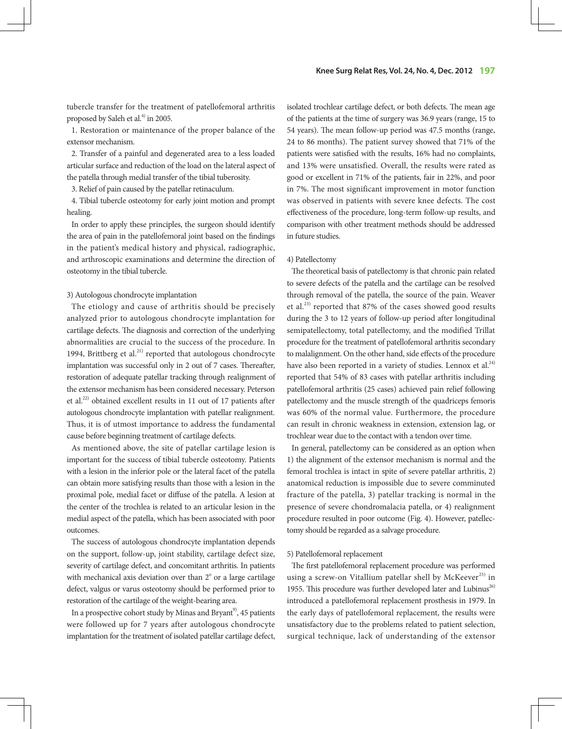tubercle transfer for the treatment of patellofemoral arthritis proposed by Saleh et al.<sup>4)</sup> in 2005.

1. Restoration or maintenance of the proper balance of the extensor mechanism.

2. Transfer of a painful and degenerated area to a less loaded articular surface and reduction of the load on the lateral aspect of the patella through medial transfer of the tibial tuberosity.

3. Relief of pain caused by the patellar retinaculum.

4. Tibial tubercle osteotomy for early joint motion and prompt healing.

In order to apply these principles, the surgeon should identify the area of pain in the patellofemoral joint based on the findings in the patient's medical history and physical, radiographic, and arthroscopic examinations and determine the direction of osteotomy in the tibial tubercle.

#### 3) Autologous chondrocyte implantation

The etiology and cause of arthritis should be precisely analyzed prior to autologous chondrocyte implantation for cartilage defects. The diagnosis and correction of the underlying abnormalities are crucial to the success of the procedure. In 1994, Brittberg et al.<sup>21)</sup> reported that autologous chondrocyte implantation was successful only in 2 out of 7 cases. Thereafter, restoration of adequate patellar tracking through realignment of the extensor mechanism has been considered necessary. Peterson et al.<sup>22)</sup> obtained excellent results in 11 out of 17 patients after autologous chondrocyte implantation with patellar realignment. Thus, it is of utmost importance to address the fundamental cause before beginning treatment of cartilage defects.

As mentioned above, the site of patellar cartilage lesion is important for the success of tibial tubercle osteotomy. Patients with a lesion in the inferior pole or the lateral facet of the patella can obtain more satisfying results than those with a lesion in the proximal pole, medial facet or diffuse of the patella. A lesion at the center of the trochlea is related to an articular lesion in the medial aspect of the patella, which has been associated with poor outcomes.

The success of autologous chondrocyte implantation depends on the support, follow-up, joint stability, cartilage defect size, severity of cartilage defect, and concomitant arthritis. In patients with mechanical axis deviation over than  $2^{\circ}$  or a large cartilage defect, valgus or varus osteotomy should be performed prior to restoration of the cartilage of the weight-bearing area.

In a prospective cohort study by Minas and Bryant<sup>9</sup>, 45 patients were followed up for 7 years after autologous chondrocyte implantation for the treatment of isolated patellar cartilage defect,

isolated trochlear cartilage defect, or both defects. The mean age of the patients at the time of surgery was 36.9 years (range, 15 to 54 years). The mean follow-up period was 47.5 months (range, 24 to 86 months). The patient survey showed that 71% of the patients were satisfied with the results, 16% had no complaints, and 13% were unsatisfied. Overall, the results were rated as good or excellent in 71% of the patients, fair in 22%, and poor in 7%. The most significant improvement in motor function was observed in patients with severe knee defects. The cost effectiveness of the procedure, long-term follow-up results, and comparison with other treatment methods should be addressed in future studies.

#### 4) Patellectomy

The theoretical basis of patellectomy is that chronic pain related to severe defects of the patella and the cartilage can be resolved through removal of the patella, the source of the pain. Weaver et al.<sup>23)</sup> reported that 87% of the cases showed good results during the 3 to 12 years of follow-up period after longitudinal semipatellectomy, total patellectomy, and the modified Trillat procedure for the treatment of patellofemoral arthritis secondary to malalignment. On the other hand, side effects of the procedure have also been reported in a variety of studies. Lennox et al. $^{24)}$ reported that 54% of 83 cases with patellar arthritis including patellofemoral arthritis (25 cases) achieved pain relief following patellectomy and the muscle strength of the quadriceps femoris was 60% of the normal value. Furthermore, the procedure can result in chronic weakness in extension, extension lag, or trochlear wear due to the contact with a tendon over time.

In general, patellectomy can be considered as an option when 1) the alignment of the extensor mechanism is normal and the femoral trochlea is intact in spite of severe patellar arthritis, 2) anatomical reduction is impossible due to severe comminuted fracture of the patella, 3) patellar tracking is normal in the presence of severe chondromalacia patella, or 4) realignment procedure resulted in poor outcome (Fig. 4). However, patellectomy should be regarded as a salvage procedure.

#### 5) Patellofemoral replacement

The first patellofemoral replacement procedure was performed using a screw-on Vitallium patellar shell by McKeever<sup>25)</sup> in 1955. This procedure was further developed later and Lubinus<sup>26)</sup> introduced a patellofemoral replacement prosthesis in 1979. In the early days of patellofemoral replacement, the results were unsatisfactory due to the problems related to patient selection, surgical technique, lack of understanding of the extensor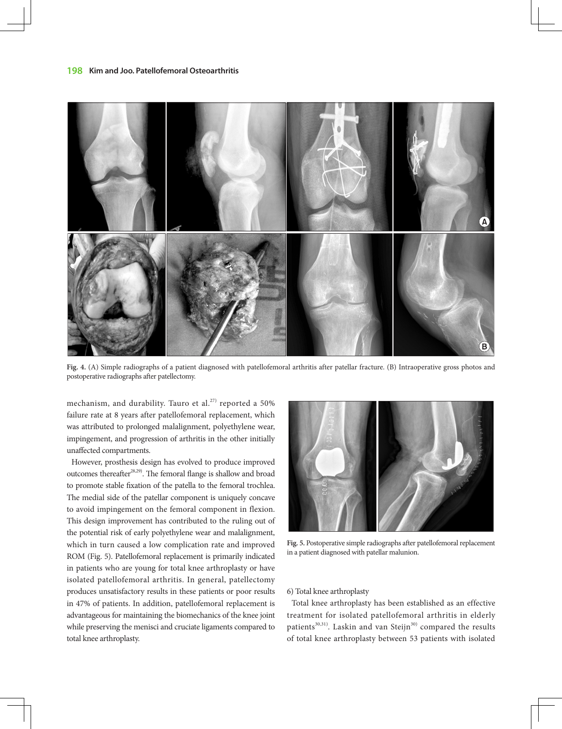

**Fig. 4.** (A) Simple radiographs of a patient diagnosed with patellofemoral arthritis after patellar fracture. (B) Intraoperative gross photos and postoperative radiographs after patellectomy.

mechanism, and durability. Tauro et al.<sup>27)</sup> reported a 50% failure rate at 8 years after patellofemoral replacement, which was attributed to prolonged malalignment, polyethylene wear, impingement, and progression of arthritis in the other initially unaffected compartments.

However, prosthesis design has evolved to produce improved outcomes thereafter<sup>28,29)</sup>. The femoral flange is shallow and broad to promote stable fixation of the patella to the femoral trochlea. The medial side of the patellar component is uniquely concave to avoid impingement on the femoral component in flexion. This design improvement has contributed to the ruling out of the potential risk of early polyethylene wear and malalignment, which in turn caused a low complication rate and improved ROM (Fig. 5). Patellofemoral replacement is primarily indicated in patients who are young for total knee arthroplasty or have isolated patellofemoral arthritis. In general, patellectomy produces unsatisfactory results in these patients or poor results in 47% of patients. In addition, patellofemoral replacement is advantageous for maintaining the biomechanics of the knee joint while preserving the menisci and cruciate ligaments compared to total knee arthroplasty.



**Fig. 5.** Postoperative simple radiographs after patellofemoral replacement in a patient diagnosed with patellar malunion.

6) Total knee arthroplasty

Total knee arthroplasty has been established as an effective treatment for isolated patellofemoral arthritis in elderly patients<sup>30,31)</sup>. Laskin and van Steijn<sup>30)</sup> compared the results of total knee arthroplasty between 53 patients with isolated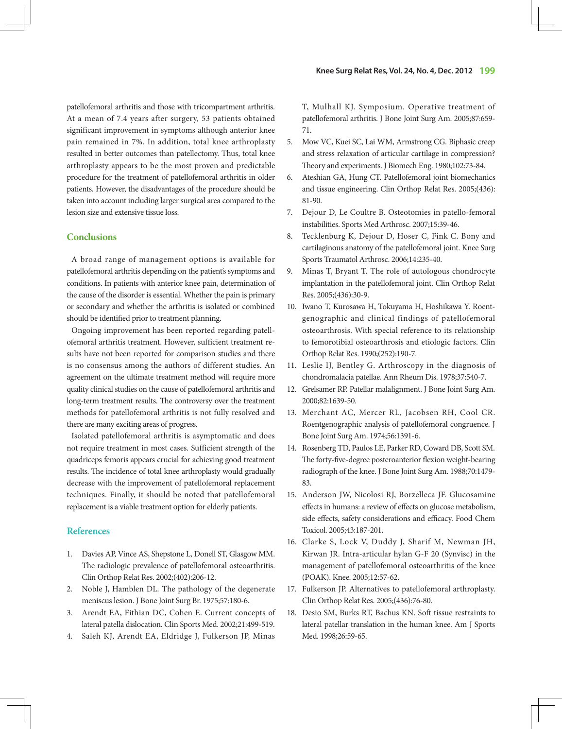patellofemoral arthritis and those with tricompartment arthritis. At a mean of 7.4 years after surgery, 53 patients obtained significant improvement in symptoms although anterior knee pain remained in 7%. In addition, total knee arthroplasty resulted in better outcomes than patellectomy. Thus, total knee arthroplasty appears to be the most proven and predictable procedure for the treatment of patellofemoral arthritis in older patients. However, the disadvantages of the procedure should be taken into account including larger surgical area compared to the lesion size and extensive tissue loss.

## **Conclusions**

A broad range of management options is available for patellofemoral arthritis depending on the patient's symptoms and conditions. In patients with anterior knee pain, determination of the cause of the disorder is essential. Whether the pain is primary or secondary and whether the arthritis is isolated or combined should be identified prior to treatment planning.

Ongoing improvement has been reported regarding patellofemoral arthritis treatment. However, sufficient treatment results have not been reported for comparison studies and there is no consensus among the authors of different studies. An agreement on the ultimate treatment method will require more quality clinical studies on the cause of patellofemoral arthritis and long-term treatment results. The controversy over the treatment methods for patellofemoral arthritis is not fully resolved and there are many exciting areas of progress.

Isolated patellofemoral arthritis is asymptomatic and does not require treatment in most cases. Sufficient strength of the quadriceps femoris appears crucial for achieving good treatment results. The incidence of total knee arthroplasty would gradually decrease with the improvement of patellofemoral replacement techniques. Finally, it should be noted that patellofemoral replacement is a viable treatment option for elderly patients.

### **References**

- 1. Davies AP, Vince AS, Shepstone L, Donell ST, Glasgow MM. The radiologic prevalence of patellofemoral osteoarthritis. Clin Orthop Relat Res. 2002;(402):206-12.
- 2. Noble J, Hamblen DL. The pathology of the degenerate meniscus lesion. J Bone Joint Surg Br. 1975;57:180-6.
- 3. Arendt EA, Fithian DC, Cohen E. Current concepts of lateral patella dislocation. Clin Sports Med. 2002;21:499-519.
- 4. Saleh KJ, Arendt EA, Eldridge J, Fulkerson JP, Minas

T, Mulhall KJ. Symposium. Operative treatment of patellofemoral arthritis. J Bone Joint Surg Am. 2005;87:659- 71.

- 5. Mow VC, Kuei SC, Lai WM, Armstrong CG. Biphasic creep and stress relaxation of articular cartilage in compression? Theory and experiments. J Biomech Eng. 1980;102:73-84.
- 6. Ateshian GA, Hung CT. Patellofemoral joint biomechanics and tissue engineering. Clin Orthop Relat Res. 2005;(436): 81-90.
- 7. Dejour D, Le Coultre B. Osteotomies in patello-femoral instabilities. Sports Med Arthrosc. 2007;15:39-46.
- 8. Tecklenburg K, Dejour D, Hoser C, Fink C. Bony and cartilaginous anatomy of the patellofemoral joint. Knee Surg Sports Traumatol Arthrosc. 2006;14:235-40.
- 9. Minas T, Bryant T. The role of autologous chondrocyte implantation in the patellofemoral joint. Clin Orthop Relat Res. 2005;(436):30-9.
- 10. Iwano T, Kurosawa H, Tokuyama H, Hoshikawa Y. Roentgenographic and clinical findings of patellofemoral osteoarthrosis. With special reference to its relationship to femorotibial osteoarthrosis and etiologic factors. Clin Orthop Relat Res. 1990;(252):190-7.
- 11. Leslie IJ, Bentley G. Arthroscopy in the diagnosis of chondromalacia patellae. Ann Rheum Dis. 1978;37:540-7.
- 12. Grelsamer RP. Patellar malalignment. J Bone Joint Surg Am. 2000;82:1639-50.
- 13. Merchant AC, Mercer RL, Jacobsen RH, Cool CR. Roentgenographic analysis of patellofemoral congruence. J Bone Joint Surg Am. 1974;56:1391-6.
- 14. Rosenberg TD, Paulos LE, Parker RD, Coward DB, Scott SM. The forty-five-degree posteroanterior flexion weight-bearing radiograph of the knee. J Bone Joint Surg Am. 1988;70:1479- 83.
- 15. Anderson JW, Nicolosi RJ, Borzelleca JF. Glucosamine effects in humans: a review of effects on glucose metabolism, side effects, safety considerations and efficacy. Food Chem Toxicol. 2005;43:187-201.
- 16. Clarke S, Lock V, Duddy J, Sharif M, Newman JH, Kirwan JR. Intra-articular hylan G-F 20 (Synvisc) in the management of patellofemoral osteoarthritis of the knee (POAK). Knee. 2005;12:57-62.
- 17. Fulkerson JP. Alternatives to patellofemoral arthroplasty. Clin Orthop Relat Res. 2005;(436):76-80.
- 18. Desio SM, Burks RT, Bachus KN. Soft tissue restraints to lateral patellar translation in the human knee. Am J Sports Med. 1998;26:59-65.